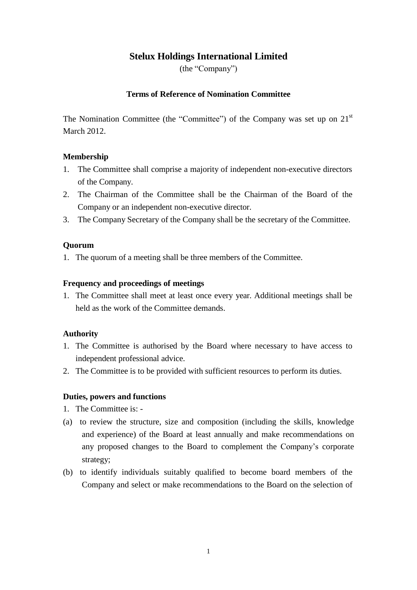# **Stelux Holdings International Limited**

(the "Company")

## **Terms of Reference of Nomination Committee**

The Nomination Committee (the "Committee") of the Company was set up on  $21<sup>st</sup>$ March 2012.

## **Membership**

- 1. The Committee shall comprise a majority of independent non-executive directors of the Company.
- 2. The Chairman of the Committee shall be the Chairman of the Board of the Company or an independent non-executive director.
- 3. The Company Secretary of the Company shall be the secretary of the Committee.

## **Quorum**

1. The quorum of a meeting shall be three members of the Committee.

#### **Frequency and proceedings of meetings**

1. The Committee shall meet at least once every year. Additional meetings shall be held as the work of the Committee demands.

## **Authority**

- 1. The Committee is authorised by the Board where necessary to have access to independent professional advice.
- 2. The Committee is to be provided with sufficient resources to perform its duties.

## **Duties, powers and functions**

- 1. The Committee is: -
- (a) to review the structure, size and composition (including the skills, knowledge and experience) of the Board at least annually and make recommendations on any proposed changes to the Board to complement the Company's corporate strategy;
- (b) to identify individuals suitably qualified to become board members of the Company and select or make recommendations to the Board on the selection of